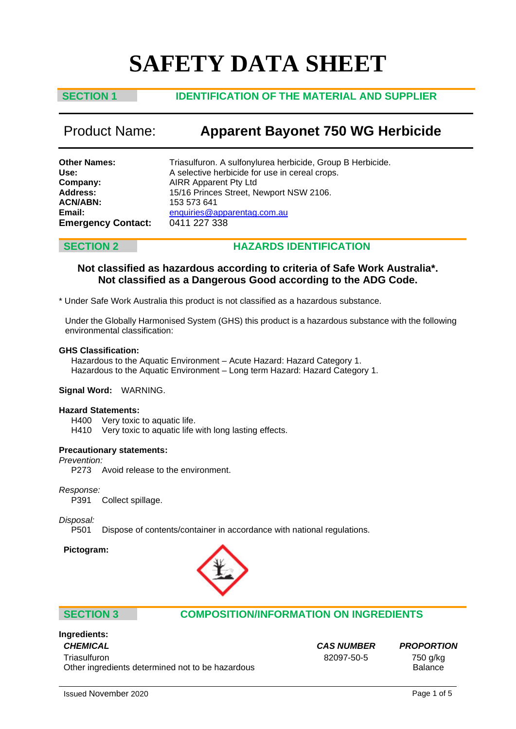# **SAFETY DATA SHEET**

# **SECTION 1 IDENTIFICATION OF THE MATERIAL AND SUPPLIER**

# Product Name: **Apparent Bayonet 750 WG Herbicide**

| <b>Other Names:</b>       | Triasulfuron. A sulfonylurea herbicide, Group B Herbicide. |
|---------------------------|------------------------------------------------------------|
| Use:                      | A selective herbicide for use in cereal crops.             |
| Company:                  | <b>AIRR Apparent Pty Ltd</b>                               |
| <b>Address:</b>           | 15/16 Princes Street, Newport NSW 2106.                    |
| <b>ACN/ABN:</b>           | 153 573 641                                                |
| Email:                    | enquiries@apparentag.com.au                                |
| <b>Emergency Contact:</b> | 0411 227 338                                               |

# **SECTION 2 HAZARDS IDENTIFICATION**

# **Not classified as hazardous according to criteria of Safe Work Australia\*. Not classified as a Dangerous Good according to the ADG Code.**

\* Under Safe Work Australia this product is not classified as a hazardous substance.

Under the Globally Harmonised System (GHS) this product is a hazardous substance with the following environmental classification:

### **GHS Classification:**

Hazardous to the Aquatic Environment – Acute Hazard: Hazard Category 1. Hazardous to the Aquatic Environment – Long term Hazard: Hazard Category 1.

### **Signal Word:** WARNING.

### **Hazard Statements:**

H400 Very toxic to aquatic life.<br>H410 Very toxic to aquatic life

Very toxic to aquatic life with long lasting effects.

### **Precautionary statements:**

*Prevention:*

P273 Avoid release to the environment.

*Response:*

P391 Collect spillage.

*Disposal:*

Dispose of contents/container in accordance with national regulations.

**Pictogram:**



### **SECTION 3 COMPOSITION/INFORMATION ON INGREDIENTS**

# **Ingredients:** *CHEMICAL CAS NUMBER PROPORTION*

Triasulfuron 750 g/kg Other ingredients determined not to be hazardous **Balance** Balance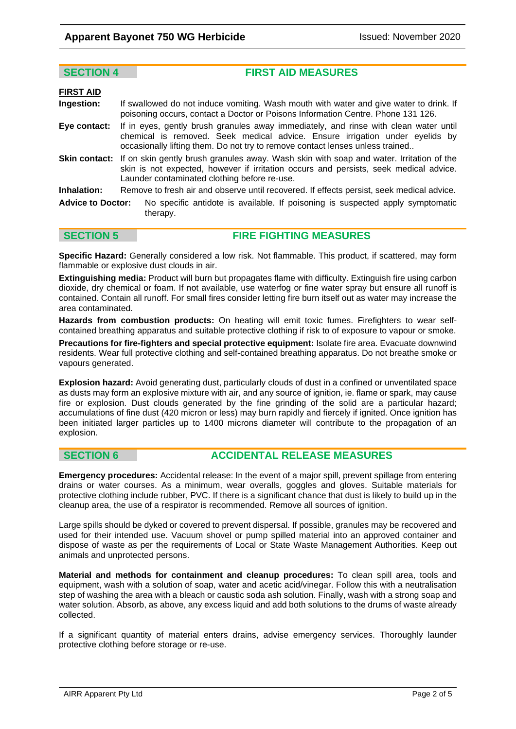**SECTION 4 FIRST AID MEASURES**

| <b>FIRST AID</b>         |                                                                                                                                                                                                                                                       |  |
|--------------------------|-------------------------------------------------------------------------------------------------------------------------------------------------------------------------------------------------------------------------------------------------------|--|
| Ingestion:               | If swallowed do not induce vomiting. Wash mouth with water and give water to drink. If<br>poisoning occurs, contact a Doctor or Poisons Information Centre. Phone 131 126.                                                                            |  |
| Eye contact:             | If in eyes, gently brush granules away immediately, and rinse with clean water until<br>chemical is removed. Seek medical advice. Ensure irrigation under eyelids by<br>occasionally lifting them. Do not try to remove contact lenses unless trained |  |
|                          | <b>Skin contact:</b> If on skin gently brush granules away. Wash skin with soap and water. Irritation of the<br>skin is not expected, however if irritation occurs and persists, seek medical advice.<br>Launder contaminated clothing before re-use. |  |
| Inhalation:              | Remove to fresh air and observe until recovered. If effects persist, seek medical advice.                                                                                                                                                             |  |
| <b>Advice to Doctor:</b> | No specific antidote is available. If poisoning is suspected apply symptomatic<br>therapy.                                                                                                                                                            |  |

**SECTION 5 FIRE FIGHTING MEASURES** 

**Specific Hazard:** Generally considered a low risk. Not flammable. This product, if scattered, may form flammable or explosive dust clouds in air.

**Extinguishing media:** Product will burn but propagates flame with difficulty. Extinguish fire using carbon dioxide, dry chemical or foam. If not available, use waterfog or fine water spray but ensure all runoff is contained. Contain all runoff. For small fires consider letting fire burn itself out as water may increase the area contaminated.

**Hazards from combustion products:** On heating will emit toxic fumes. Firefighters to wear selfcontained breathing apparatus and suitable protective clothing if risk to of exposure to vapour or smoke.

**Precautions for fire-fighters and special protective equipment:** Isolate fire area. Evacuate downwind residents. Wear full protective clothing and self-contained breathing apparatus. Do not breathe smoke or vapours generated.

**Explosion hazard:** Avoid generating dust, particularly clouds of dust in a confined or unventilated space as dusts may form an explosive mixture with air, and any source of ignition, ie. flame or spark, may cause fire or explosion. Dust clouds generated by the fine grinding of the solid are a particular hazard; accumulations of fine dust (420 micron or less) may burn rapidly and fiercely if ignited. Once ignition has been initiated larger particles up to 1400 microns diameter will contribute to the propagation of an explosion.

# **SECTION 6 ACCIDENTAL RELEASE MEASURES**

**Emergency procedures:** Accidental release: In the event of a major spill, prevent spillage from entering drains or water courses. As a minimum, wear overalls, goggles and gloves. Suitable materials for protective clothing include rubber, PVC. If there is a significant chance that dust is likely to build up in the cleanup area, the use of a respirator is recommended. Remove all sources of ignition.

Large spills should be dyked or covered to prevent dispersal. If possible, granules may be recovered and used for their intended use. Vacuum shovel or pump spilled material into an approved container and dispose of waste as per the requirements of Local or State Waste Management Authorities. Keep out animals and unprotected persons.

**Material and methods for containment and cleanup procedures:** To clean spill area, tools and equipment, wash with a solution of soap, water and acetic acid/vinegar. Follow this with a neutralisation step of washing the area with a bleach or caustic soda ash solution. Finally, wash with a strong soap and water solution. Absorb, as above, any excess liquid and add both solutions to the drums of waste already collected.

If a significant quantity of material enters drains, advise emergency services. Thoroughly launder protective clothing before storage or re-use.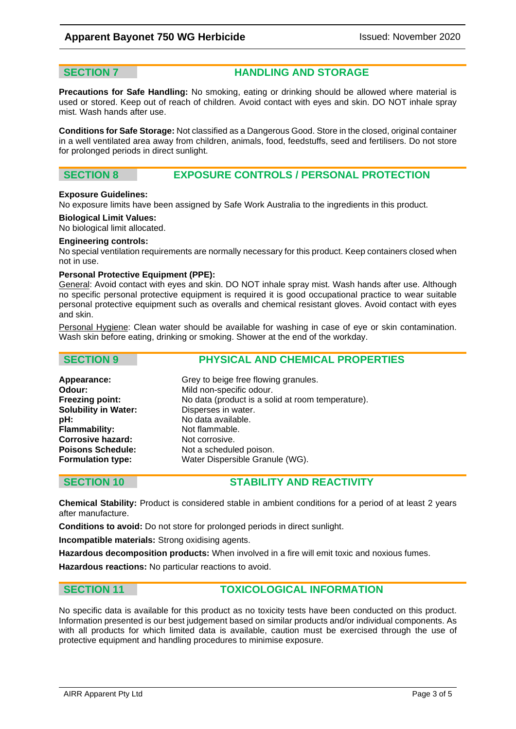**SECTION 7 HANDLING AND STORAGE** 

**Precautions for Safe Handling:** No smoking, eating or drinking should be allowed where material is used or stored. Keep out of reach of children. Avoid contact with eyes and skin. DO NOT inhale spray mist. Wash hands after use.

**Conditions for Safe Storage:** Not classified as a Dangerous Good. Store in the closed, original container in a well ventilated area away from children, animals, food, feedstuffs, seed and fertilisers. Do not store for prolonged periods in direct sunlight.

# **SECTION 8 EXPOSURE CONTROLS / PERSONAL PROTECTION**

### **Exposure Guidelines:**

No exposure limits have been assigned by Safe Work Australia to the ingredients in this product.

### **Biological Limit Values:**

No biological limit allocated.

### **Engineering controls:**

No special ventilation requirements are normally necessary for this product. Keep containers closed when not in use.

### **Personal Protective Equipment (PPE):**

General: Avoid contact with eyes and skin. DO NOT inhale spray mist. Wash hands after use. Although no specific personal protective equipment is required it is good occupational practice to wear suitable personal protective equipment such as overalls and chemical resistant gloves. Avoid contact with eyes and skin.

Personal Hygiene: Clean water should be available for washing in case of eye or skin contamination. Wash skin before eating, drinking or smoking. Shower at the end of the workday.

| <b>SECTION 9</b> | <b>PHYSICAL AND CHEMICAL PROPERTIES</b> |
|------------------|-----------------------------------------|
|                  |                                         |

| Appearance:                 | Grey to beige free flowing granules.              |
|-----------------------------|---------------------------------------------------|
| Odour:                      | Mild non-specific odour.                          |
| <b>Freezing point:</b>      | No data (product is a solid at room temperature). |
| <b>Solubility in Water:</b> | Disperses in water.                               |
| pH:                         | No data available.                                |
| <b>Flammability:</b>        | Not flammable.                                    |
| <b>Corrosive hazard:</b>    | Not corrosive.                                    |
| <b>Poisons Schedule:</b>    | Not a scheduled poison.                           |
| <b>Formulation type:</b>    | Water Dispersible Granule (WG).                   |
|                             |                                                   |

# **SECTION 10 STABILITY AND REACTIVITY**

**Chemical Stability:** Product is considered stable in ambient conditions for a period of at least 2 years after manufacture.

**Conditions to avoid:** Do not store for prolonged periods in direct sunlight.

**Incompatible materials:** Strong oxidising agents.

**Hazardous decomposition products:** When involved in a fire will emit toxic and noxious fumes.

**Hazardous reactions:** No particular reactions to avoid.

# **SECTION 11 TOXICOLOGICAL INFORMATION**

No specific data is available for this product as no toxicity tests have been conducted on this product. Information presented is our best judgement based on similar products and/or individual components. As with all products for which limited data is available, caution must be exercised through the use of protective equipment and handling procedures to minimise exposure.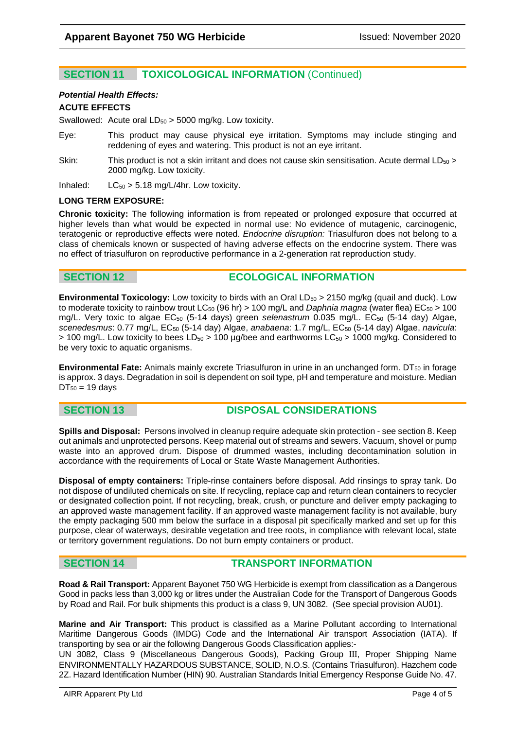# **SECTION 11 TOXICOLOGICAL INFORMATION** (Continued)

# *Potential Health Effects:*

### **ACUTE EFFECTS**

Swallowed: Acute oral  $LD_{50} > 5000$  mg/kg. Low toxicity.

- Eye: This product may cause physical eye irritation. Symptoms may include stinging and reddening of eyes and watering. This product is not an eye irritant.
- Skin: This product is not a skin irritant and does not cause skin sensitisation. Acute dermal  $LD_{50}$  > 2000 mg/kg. Low toxicity.

Inhaled:  $LC_{50} > 5.18$  mg/L/4hr. Low toxicity.

### **LONG TERM EXPOSURE:**

**Chronic toxicity:** The following information is from repeated or prolonged exposure that occurred at higher levels than what would be expected in normal use: No evidence of mutagenic, carcinogenic, teratogenic or reproductive effects were noted. *Endocrine disruption:* Triasulfuron does not belong to a class of chemicals known or suspected of having adverse effects on the endocrine system. There was no effect of triasulfuron on reproductive performance in a 2-generation rat reproduction study.

# **SECTION 12 ECOLOGICAL INFORMATION**

**Environmental Toxicology:** Low toxicity to birds with an Oral LD<sub>50</sub> > 2150 mg/kg (quail and duck). Low to moderate toxicity to rainbow trout LC<sub>50</sub> (96 hr) > 100 mg/L and *Daphnia magna* (water flea) EC<sub>50</sub> > 100 mg/L. Very toxic to algae EC<sub>50</sub> (5-14 days) green *selenastrum* 0.035 mg/L. EC<sub>50</sub> (5-14 day) Algae, *scenedesmus*: 0.77 mg/L, EC50 (5-14 day) Algae, *anabaena*: 1.7 mg/L, EC50 (5-14 day) Algae, *navicula*:  $> 100$  mg/L. Low toxicity to bees LD<sub>50</sub>  $> 100$  µg/bee and earthworms LC<sub>50</sub>  $> 1000$  mg/kg. Considered to be very toxic to aquatic organisms.

**Environmental Fate:** Animals mainly excrete Triasulfuron in urine in an unchanged form. DT<sub>50</sub> in forage is approx. 3 days. Degradation in soil is dependent on soil type, pH and temperature and moisture. Median  $DT_{50}$  = 19 days

# **SECTION 13 DISPOSAL CONSIDERATIONS**

**Spills and Disposal:** Persons involved in cleanup require adequate skin protection - see section 8. Keep out animals and unprotected persons. Keep material out of streams and sewers. Vacuum, shovel or pump waste into an approved drum. Dispose of drummed wastes, including decontamination solution in accordance with the requirements of Local or State Waste Management Authorities.

**Disposal of empty containers:** Triple-rinse containers before disposal. Add rinsings to spray tank. Do not dispose of undiluted chemicals on site. If recycling, replace cap and return clean containers to recycler or designated collection point. If not recycling, break, crush, or puncture and deliver empty packaging to an approved waste management facility. If an approved waste management facility is not available, bury the empty packaging 500 mm below the surface in a disposal pit specifically marked and set up for this purpose, clear of waterways, desirable vegetation and tree roots, in compliance with relevant local, state or territory government regulations. Do not burn empty containers or product.

# **SECTION 14 TRANSPORT INFORMATION**

**Road & Rail Transport:** Apparent Bayonet 750 WG Herbicide is exempt from classification as a Dangerous Good in packs less than 3,000 kg or litres under the Australian Code for the Transport of Dangerous Goods by Road and Rail. For bulk shipments this product is a class 9, UN 3082. (See special provision AU01).

**Marine and Air Transport:** This product is classified as a Marine Pollutant according to International Maritime Dangerous Goods (IMDG) Code and the International Air transport Association (IATA). If transporting by sea or air the following Dangerous Goods Classification applies:-

UN 3082, Class 9 (Miscellaneous Dangerous Goods), Packing Group III, Proper Shipping Name ENVIRONMENTALLY HAZARDOUS SUBSTANCE, SOLID, N.O.S. (Contains Triasulfuron). Hazchem code 2Z. Hazard Identification Number (HIN) 90. Australian Standards Initial Emergency Response Guide No. 47.